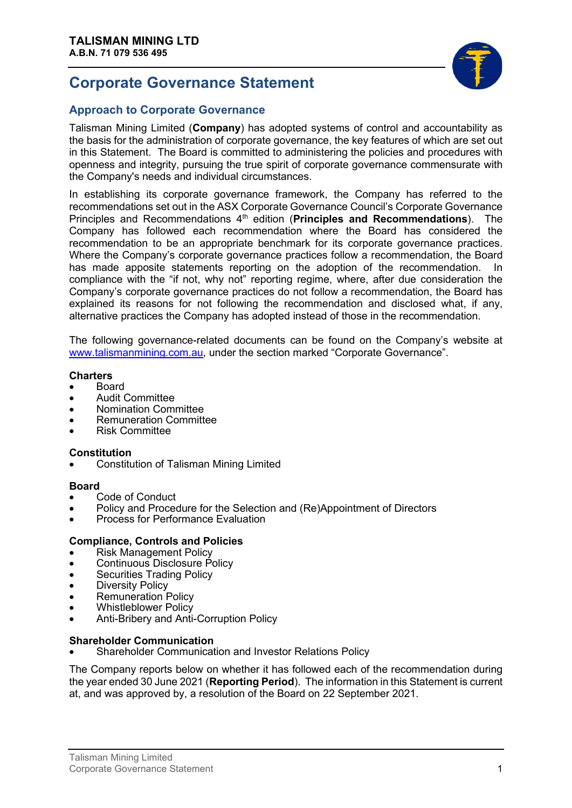# **Corporate Governance Statement**



# **Approach to Corporate Governance**

Talisman Mining Limited (**Company**) has adopted systems of control and accountability as the basis for the administration of corporate governance, the key features of which are set out in this Statement. The Board is committed to administering the policies and procedures with openness and integrity, pursuing the true spirit of corporate governance commensurate with the Company's needs and individual circumstances.

In establishing its corporate governance framework, the Company has referred to the recommendations set out in the ASX Corporate Governance Council's Corporate Governance Principles and Recommendations 4<sup>th</sup> edition (**Principles and Recommendations**). The Company has followed each recommendation where the Board has considered the recommendation to be an appropriate benchmark for its corporate governance practices. Where the Company's corporate governance practices follow a recommendation, the Board has made apposite statements reporting on the adoption of the recommendation. In compliance with the "if not, why not" reporting regime, where, after due consideration the Company's corporate governance practices do not follow a recommendation, the Board has explained its reasons for not following the recommendation and disclosed what, if any, alternative practices the Company has adopted instead of those in the recommendation.

The following governance-related documents can be found on the Company's website at [www.talismanmining.com.au,](http://www.talismanmining.com.au/) under the section marked "Corporate Governance".

#### **Charters**

- Board
- Audit Committee
- Nomination Committee
- Remuneration Committee
- Risk Committee

### **Constitution**

• Constitution of Talisman Mining Limited

### **Board**

- Code of Conduct
- Policy and Procedure for the Selection and (Re)Appointment of Directors
- Process for Performance Evaluation

### **Compliance, Controls and Policies**

- Risk Management Policy
- Continuous Disclosure Policy
- Securities Trading Policy
- **Diversity Policy**
- Remuneration Policy
- Whistleblower Policy
- Anti-Bribery and Anti-Corruption Policy

### **Shareholder Communication**

• Shareholder Communication and Investor Relations Policy

The Company reports below on whether it has followed each of the recommendation during the year ended 30 June 2021 (**Reporting Period**). The information in this Statement is current at, and was approved by, a resolution of the Board on 22 September 2021.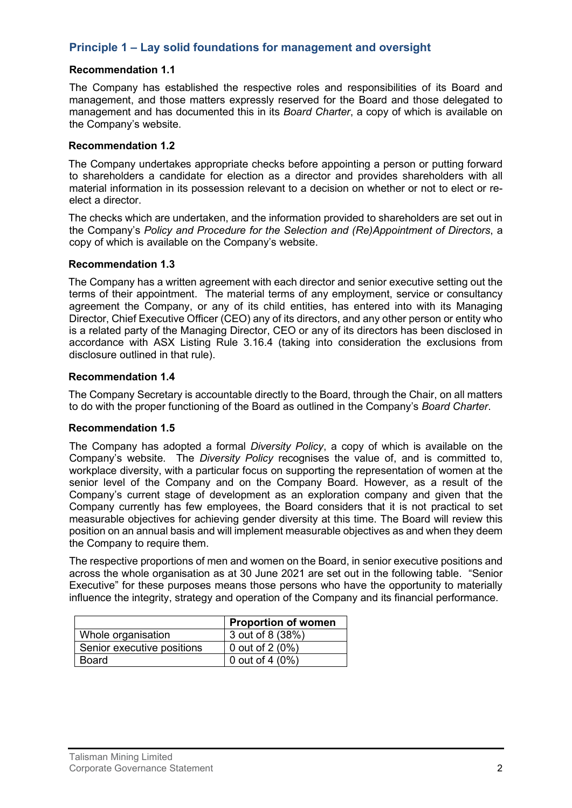# **Principle 1 – Lay solid foundations for management and oversight**

### **Recommendation 1.1**

The Company has established the respective roles and responsibilities of its Board and management, and those matters expressly reserved for the Board and those delegated to management and has documented this in its *Board Charter*, a copy of which is available on the Company's website.

#### **Recommendation 1.2**

The Company undertakes appropriate checks before appointing a person or putting forward to shareholders a candidate for election as a director and provides shareholders with all material information in its possession relevant to a decision on whether or not to elect or reelect a director.

The checks which are undertaken, and the information provided to shareholders are set out in the Company's *Policy and Procedure for the Selection and (Re)Appointment of Directors*, a copy of which is available on the Company's website.

### **Recommendation 1.3**

The Company has a written agreement with each director and senior executive setting out the terms of their appointment. The material terms of any employment, service or consultancy agreement the Company, or any of its child entities, has entered into with its Managing Director, Chief Executive Officer (CEO) any of its directors, and any other person or entity who is a related party of the Managing Director, CEO or any of its directors has been disclosed in accordance with ASX Listing Rule 3.16.4 (taking into consideration the exclusions from disclosure outlined in that rule).

### **Recommendation 1.4**

The Company Secretary is accountable directly to the Board, through the Chair, on all matters to do with the proper functioning of the Board as outlined in the Company's *Board Charter*.

### **Recommendation 1.5**

The Company has adopted a formal *Diversity Policy*, a copy of which is available on the Company's website. The *Diversity Policy* recognises the value of, and is committed to, workplace diversity, with a particular focus on supporting the representation of women at the senior level of the Company and on the Company Board. However, as a result of the Company's current stage of development as an exploration company and given that the Company currently has few employees, the Board considers that it is not practical to set measurable objectives for achieving gender diversity at this time. The Board will review this position on an annual basis and will implement measurable objectives as and when they deem the Company to require them.

The respective proportions of men and women on the Board, in senior executive positions and across the whole organisation as at 30 June 2021 are set out in the following table. "Senior Executive" for these purposes means those persons who have the opportunity to materially influence the integrity, strategy and operation of the Company and its financial performance.

|                            | <b>Proportion of women</b> |
|----------------------------|----------------------------|
| Whole organisation         | 3 out of 8 (38%)           |
| Senior executive positions | 0 out of $2(0\%)$          |
| Board                      | 0 out of 4 $(0\%)$         |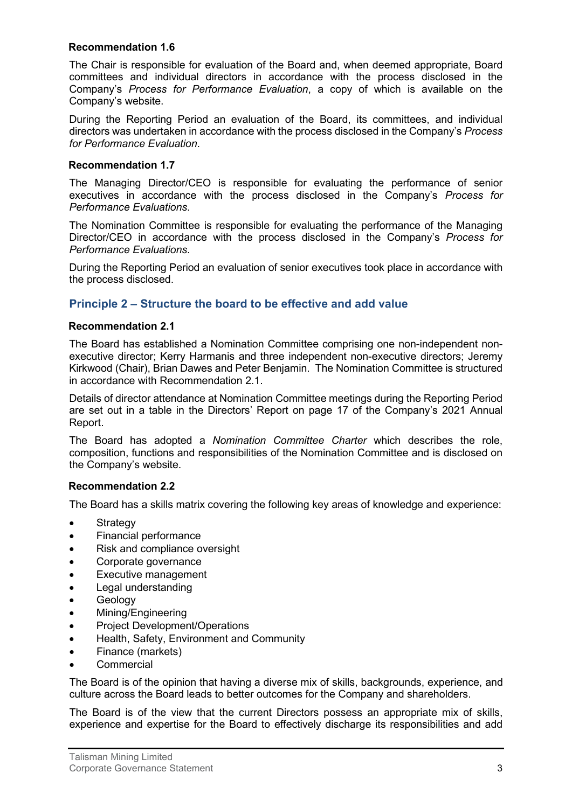### **Recommendation 1.6**

The Chair is responsible for evaluation of the Board and, when deemed appropriate, Board committees and individual directors in accordance with the process disclosed in the Company's *Process for Performance Evaluation*, a copy of which is available on the Company's website.

During the Reporting Period an evaluation of the Board, its committees, and individual directors was undertaken in accordance with the process disclosed in the Company's *Process for Performance Evaluation*.

### **Recommendation 1.7**

The Managing Director/CEO is responsible for evaluating the performance of senior executives in accordance with the process disclosed in the Company's *Process for Performance Evaluations*.

The Nomination Committee is responsible for evaluating the performance of the Managing Director/CEO in accordance with the process disclosed in the Company's *Process for Performance Evaluations*.

During the Reporting Period an evaluation of senior executives took place in accordance with the process disclosed.

# **Principle 2 – Structure the board to be effective and add value**

#### **Recommendation 2.1**

The Board has established a Nomination Committee comprising one non-independent nonexecutive director; Kerry Harmanis and three independent non-executive directors; Jeremy Kirkwood (Chair), Brian Dawes and Peter Benjamin. The Nomination Committee is structured in accordance with Recommendation 2.1.

Details of director attendance at Nomination Committee meetings during the Reporting Period are set out in a table in the Directors' Report on page 17 of the Company's 2021 Annual Report.

The Board has adopted a *Nomination Committee Charter* which describes the role, composition, functions and responsibilities of the Nomination Committee and is disclosed on the Company's website.

### **Recommendation 2.2**

The Board has a skills matrix covering the following key areas of knowledge and experience:

- **Strategy**
- Financial performance
- Risk and compliance oversight
- Corporate governance
- Executive management
- Legal understanding
- **Geology**
- Mining/Engineering
- Project Development/Operations
- Health, Safety, Environment and Community
- Finance (markets)
- **Commercial**

The Board is of the opinion that having a diverse mix of skills, backgrounds, experience, and culture across the Board leads to better outcomes for the Company and shareholders.

The Board is of the view that the current Directors possess an appropriate mix of skills, experience and expertise for the Board to effectively discharge its responsibilities and add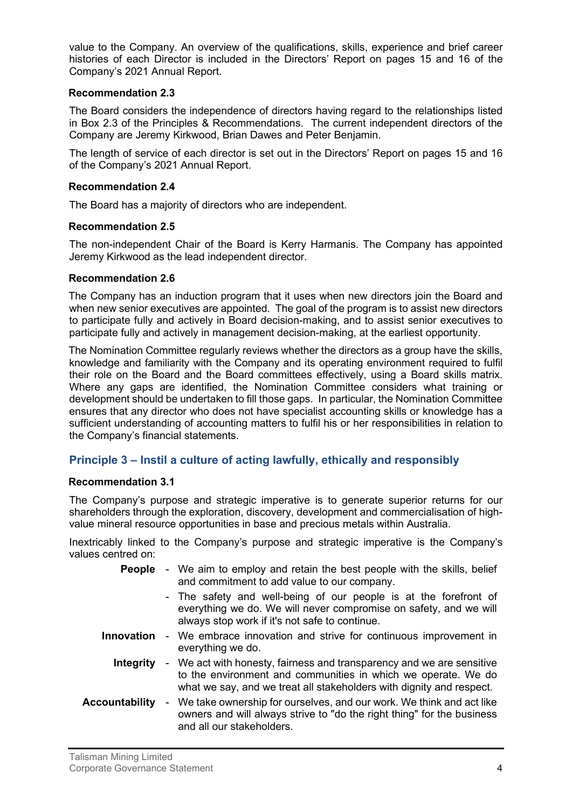value to the Company. An overview of the qualifications, skills, experience and brief career histories of each Director is included in the Directors' Report on pages 15 and 16 of the Company's 2021 Annual Report.

# **Recommendation 2.3**

The Board considers the independence of directors having regard to the relationships listed in Box 2.3 of the Principles & Recommendations. The current independent directors of the Company are Jeremy Kirkwood, Brian Dawes and Peter Benjamin.

The length of service of each director is set out in the Directors' Report on pages 15 and 16 of the Company's 2021 Annual Report.

# **Recommendation 2.4**

The Board has a majority of directors who are independent.

# **Recommendation 2.5**

The non-independent Chair of the Board is Kerry Harmanis. The Company has appointed Jeremy Kirkwood as the lead independent director.

# **Recommendation 2.6**

The Company has an induction program that it uses when new directors join the Board and when new senior executives are appointed. The goal of the program is to assist new directors to participate fully and actively in Board decision-making, and to assist senior executives to participate fully and actively in management decision-making, at the earliest opportunity.

The Nomination Committee regularly reviews whether the directors as a group have the skills, knowledge and familiarity with the Company and its operating environment required to fulfil their role on the Board and the Board committees effectively, using a Board skills matrix. Where any gaps are identified, the Nomination Committee considers what training or development should be undertaken to fill those gaps. In particular, the Nomination Committee ensures that any director who does not have specialist accounting skills or knowledge has a sufficient understanding of accounting matters to fulfil his or her responsibilities in relation to the Company's financial statements.

# **Principle 3 – Instil a culture of acting lawfully, ethically and responsibly**

### **Recommendation 3.1**

The Company's purpose and strategic imperative is to generate superior returns for our shareholders through the exploration, discovery, development and commercialisation of highvalue mineral resource opportunities in base and precious metals within Australia.

Inextricably linked to the Company's purpose and strategic imperative is the Company's values centred on:

| People                | - We aim to employ and retain the best people with the skills, belief<br>and commitment to add value to our company.                                                                                           |  |
|-----------------------|----------------------------------------------------------------------------------------------------------------------------------------------------------------------------------------------------------------|--|
|                       | - The safety and well-being of our people is at the forefront of<br>everything we do. We will never compromise on safety, and we will<br>always stop work if it's not safe to continue.                        |  |
| <b>Innovation</b>     | - We embrace innovation and strive for continuous improvement in<br>everything we do.                                                                                                                          |  |
| <b>Integrity</b>      | - We act with honesty, fairness and transparency and we are sensitive<br>to the environment and communities in which we operate. We do<br>what we say, and we treat all stakeholders with dignity and respect. |  |
| <b>Accountability</b> | - We take ownership for ourselves, and our work. We think and act like<br>owners and will always strive to "do the right thing" for the business<br>and all our stakeholders.                                  |  |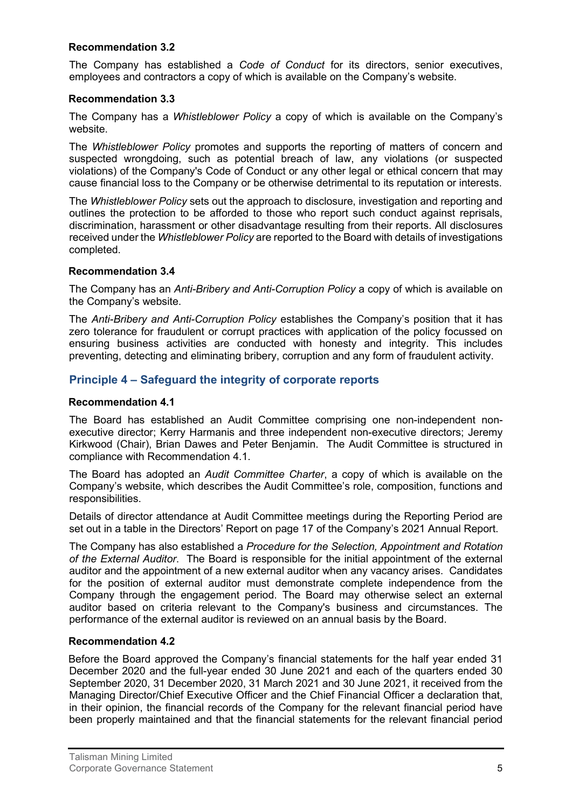### **Recommendation 3.2**

The Company has established a *Code of Conduct* for its directors, senior executives, employees and contractors a copy of which is available on the Company's website.

# **Recommendation 3.3**

The Company has a *Whistleblower Policy* a copy of which is available on the Company's website.

The *Whistleblower Policy* promotes and supports the reporting of matters of concern and suspected wrongdoing, such as potential breach of law, any violations (or suspected violations) of the Company's Code of Conduct or any other legal or ethical concern that may cause financial loss to the Company or be otherwise detrimental to its reputation or interests.

The *Whistleblower Policy* sets out the approach to disclosure, investigation and reporting and outlines the protection to be afforded to those who report such conduct against reprisals, discrimination, harassment or other disadvantage resulting from their reports. All disclosures received under the *Whistleblower Policy* are reported to the Board with details of investigations completed.

### **Recommendation 3.4**

The Company has an *Anti-Bribery and Anti-Corruption Policy* a copy of which is available on the Company's website.

The *Anti-Bribery and Anti-Corruption Policy* establishes the Company's position that it has zero tolerance for fraudulent or corrupt practices with application of the policy focussed on ensuring business activities are conducted with honesty and integrity. This includes preventing, detecting and eliminating bribery, corruption and any form of fraudulent activity.

# **Principle 4 – Safeguard the integrity of corporate reports**

# **Recommendation 4.1**

The Board has established an Audit Committee comprising one non-independent nonexecutive director; Kerry Harmanis and three independent non-executive directors; Jeremy Kirkwood (Chair), Brian Dawes and Peter Benjamin. The Audit Committee is structured in compliance with Recommendation 4.1.

The Board has adopted an *Audit Committee Charter*, a copy of which is available on the Company's website, which describes the Audit Committee's role, composition, functions and responsibilities.

Details of director attendance at Audit Committee meetings during the Reporting Period are set out in a table in the Directors' Report on page 17 of the Company's 2021 Annual Report.

The Company has also established a *Procedure for the Selection, Appointment and Rotation of the External Auditor*. The Board is responsible for the initial appointment of the external auditor and the appointment of a new external auditor when any vacancy arises. Candidates for the position of external auditor must demonstrate complete independence from the Company through the engagement period. The Board may otherwise select an external auditor based on criteria relevant to the Company's business and circumstances. The performance of the external auditor is reviewed on an annual basis by the Board.

### **Recommendation 4.2**

Before the Board approved the Company's financial statements for the half year ended 31 December 2020 and the full-year ended 30 June 2021 and each of the quarters ended 30 September 2020, 31 December 2020, 31 March 2021 and 30 June 2021, it received from the Managing Director/Chief Executive Officer and the Chief Financial Officer a declaration that, in their opinion, the financial records of the Company for the relevant financial period have been properly maintained and that the financial statements for the relevant financial period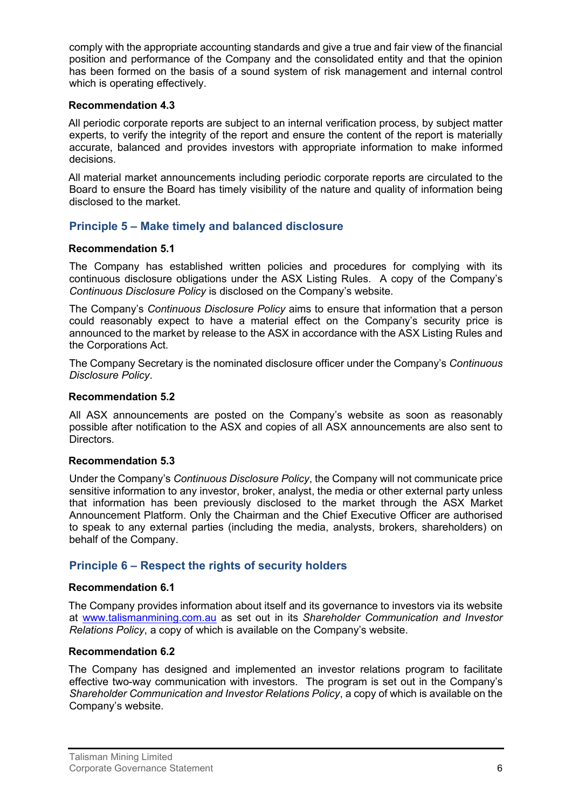comply with the appropriate accounting standards and give a true and fair view of the financial position and performance of the Company and the consolidated entity and that the opinion has been formed on the basis of a sound system of risk management and internal control which is operating effectively.

### **Recommendation 4.3**

All periodic corporate reports are subject to an internal verification process, by subject matter experts, to verify the integrity of the report and ensure the content of the report is materially accurate, balanced and provides investors with appropriate information to make informed decisions.

All material market announcements including periodic corporate reports are circulated to the Board to ensure the Board has timely visibility of the nature and quality of information being disclosed to the market.

# **Principle 5 – Make timely and balanced disclosure**

# **Recommendation 5.1**

The Company has established written policies and procedures for complying with its continuous disclosure obligations under the ASX Listing Rules. A copy of the Company's *Continuous Disclosure Policy* is disclosed on the Company's website.

The Company's *Continuous Disclosure Policy* aims to ensure that information that a person could reasonably expect to have a material effect on the Company's security price is announced to the market by release to the ASX in accordance with the ASX Listing Rules and the Corporations Act.

The Company Secretary is the nominated disclosure officer under the Company's *Continuous Disclosure Policy*.

# **Recommendation 5.2**

All ASX announcements are posted on the Company's website as soon as reasonably possible after notification to the ASX and copies of all ASX announcements are also sent to Directors.

# **Recommendation 5.3**

Under the Company's *Continuous Disclosure Policy*, the Company will not communicate price sensitive information to any investor, broker, analyst, the media or other external party unless that information has been previously disclosed to the market through the ASX Market Announcement Platform. Only the Chairman and the Chief Executive Officer are authorised to speak to any external parties (including the media, analysts, brokers, shareholders) on behalf of the Company.

# **Principle 6 – Respect the rights of security holders**

# **Recommendation 6.1**

The Company provides information about itself and its governance to investors via its website at [www.talismanmining.com.au](http://www.talismanmining.com.au/) as set out in its *Shareholder Communication and Investor Relations Policy*, a copy of which is available on the Company's website.

### **Recommendation 6.2**

The Company has designed and implemented an investor relations program to facilitate effective two-way communication with investors. The program is set out in the Company's *Shareholder Communication and Investor Relations Policy*, a copy of which is available on the Company's website.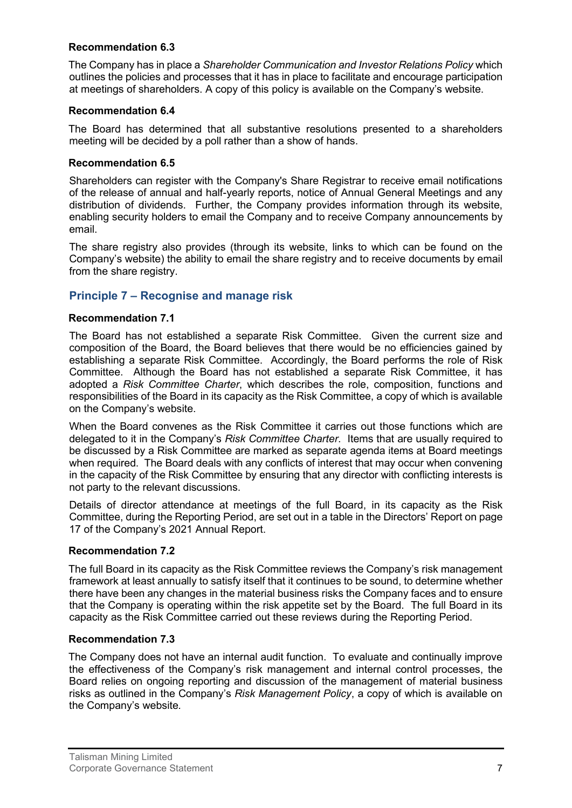# **Recommendation 6.3**

The Company has in place a *Shareholder Communication and Investor Relations Policy* which outlines the policies and processes that it has in place to facilitate and encourage participation at meetings of shareholders. A copy of this policy is available on the Company's website.

# **Recommendation 6.4**

The Board has determined that all substantive resolutions presented to a shareholders meeting will be decided by a poll rather than a show of hands.

### **Recommendation 6.5**

Shareholders can register with the Company's Share Registrar to receive email notifications of the release of annual and half-yearly reports, notice of Annual General Meetings and any distribution of dividends. Further, the Company provides information through its website, enabling security holders to email the Company and to receive Company announcements by email.

The share registry also provides (through its website, links to which can be found on the Company's website) the ability to email the share registry and to receive documents by email from the share registry.

# **Principle 7 – Recognise and manage risk**

# **Recommendation 7.1**

The Board has not established a separate Risk Committee. Given the current size and composition of the Board, the Board believes that there would be no efficiencies gained by establishing a separate Risk Committee. Accordingly, the Board performs the role of Risk Committee. Although the Board has not established a separate Risk Committee, it has adopted a *Risk Committee Charter*, which describes the role, composition, functions and responsibilities of the Board in its capacity as the Risk Committee, a copy of which is available on the Company's website.

When the Board convenes as the Risk Committee it carries out those functions which are delegated to it in the Company's *Risk Committee Charter*. Items that are usually required to be discussed by a Risk Committee are marked as separate agenda items at Board meetings when required. The Board deals with any conflicts of interest that may occur when convening in the capacity of the Risk Committee by ensuring that any director with conflicting interests is not party to the relevant discussions.

Details of director attendance at meetings of the full Board, in its capacity as the Risk Committee, during the Reporting Period, are set out in a table in the Directors' Report on page 17 of the Company's 2021 Annual Report.

### **Recommendation 7.2**

The full Board in its capacity as the Risk Committee reviews the Company's risk management framework at least annually to satisfy itself that it continues to be sound, to determine whether there have been any changes in the material business risks the Company faces and to ensure that the Company is operating within the risk appetite set by the Board. The full Board in its capacity as the Risk Committee carried out these reviews during the Reporting Period.

### **Recommendation 7.3**

The Company does not have an internal audit function. To evaluate and continually improve the effectiveness of the Company's risk management and internal control processes, the Board relies on ongoing reporting and discussion of the management of material business risks as outlined in the Company's *Risk Management Policy*, a copy of which is available on the Company's website*.*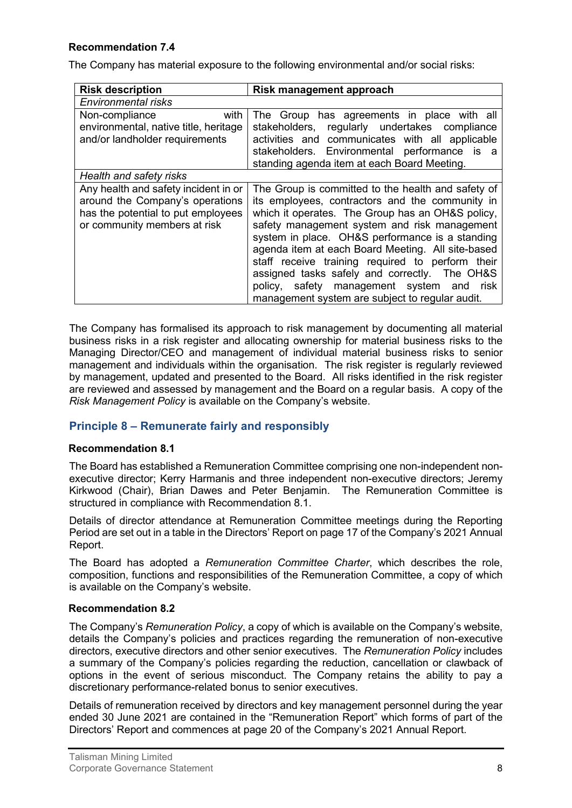# **Recommendation 7.4**

The Company has material exposure to the following environmental and/or social risks:

| <b>Risk description</b>                                                                                                                       | Risk management approach                                                                                                                                                                                                                                                                                                                                                                                                                                                                                                  |  |
|-----------------------------------------------------------------------------------------------------------------------------------------------|---------------------------------------------------------------------------------------------------------------------------------------------------------------------------------------------------------------------------------------------------------------------------------------------------------------------------------------------------------------------------------------------------------------------------------------------------------------------------------------------------------------------------|--|
| Environmental risks                                                                                                                           |                                                                                                                                                                                                                                                                                                                                                                                                                                                                                                                           |  |
| with<br>Non-compliance<br>environmental, native title, heritage<br>and/or landholder requirements                                             | The Group has agreements in place with all<br>stakeholders, regularly undertakes compliance<br>activities and communicates with all applicable<br>stakeholders. Environmental performance<br>is a<br>standing agenda item at each Board Meeting.                                                                                                                                                                                                                                                                          |  |
| Health and safety risks                                                                                                                       |                                                                                                                                                                                                                                                                                                                                                                                                                                                                                                                           |  |
| Any health and safety incident in or<br>around the Company's operations<br>has the potential to put employees<br>or community members at risk | The Group is committed to the health and safety of<br>its employees, contractors and the community in<br>which it operates. The Group has an OH&S policy,<br>safety management system and risk management<br>system in place. OH&S performance is a standing<br>agenda item at each Board Meeting. All site-based<br>staff receive training required to perform their<br>assigned tasks safely and correctly. The OH&S<br>policy, safety management system and<br>risk<br>management system are subject to regular audit. |  |

The Company has formalised its approach to risk management by documenting all material business risks in a risk register and allocating ownership for material business risks to the Managing Director/CEO and management of individual material business risks to senior management and individuals within the organisation. The risk register is regularly reviewed by management, updated and presented to the Board. All risks identified in the risk register are reviewed and assessed by management and the Board on a regular basis. A copy of the *Risk Management Policy* is available on the Company's website.

# **Principle 8 – Remunerate fairly and responsibly**

### **Recommendation 8.1**

The Board has established a Remuneration Committee comprising one non-independent nonexecutive director; Kerry Harmanis and three independent non-executive directors; Jeremy Kirkwood (Chair), Brian Dawes and Peter Benjamin. The Remuneration Committee is structured in compliance with Recommendation 8.1.

Details of director attendance at Remuneration Committee meetings during the Reporting Period are set out in a table in the Directors' Report on page 17 of the Company's 2021 Annual Report.

The Board has adopted a *Remuneration Committee Charter*, which describes the role, composition, functions and responsibilities of the Remuneration Committee, a copy of which is available on the Company's website.

#### **Recommendation 8.2**

The Company's *Remuneration Policy*, a copy of which is available on the Company's website, details the Company's policies and practices regarding the remuneration of non-executive directors, executive directors and other senior executives. The *Remuneration Policy* includes a summary of the Company's policies regarding the reduction, cancellation or clawback of options in the event of serious misconduct. The Company retains the ability to pay a discretionary performance-related bonus to senior executives.

Details of remuneration received by directors and key management personnel during the year ended 30 June 2021 are contained in the "Remuneration Report" which forms of part of the Directors' Report and commences at page 20 of the Company's 2021 Annual Report.